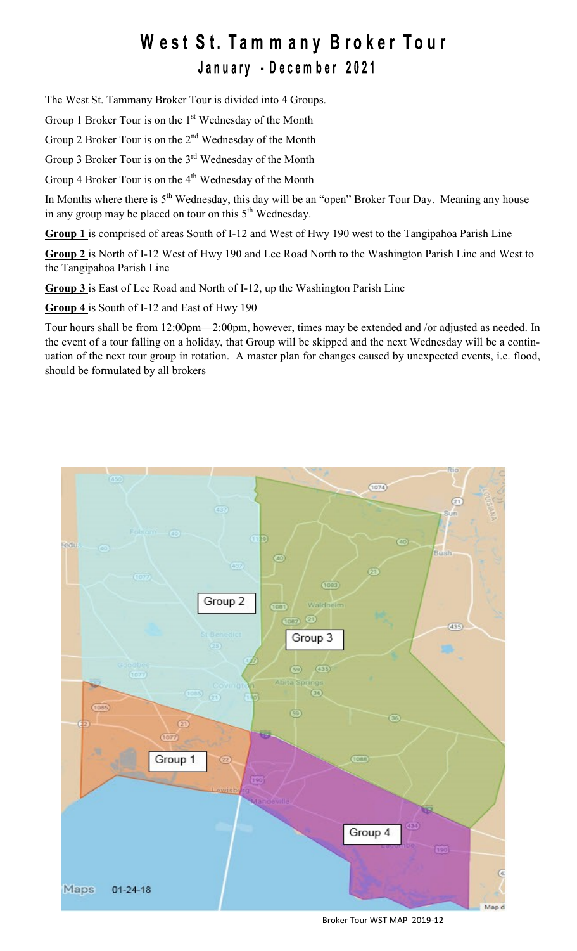## West St. Tammany Broker Tour

January - December 2021

The West St. Tammany Broker Tour is divided into 4 Groups.

Group 1 Broker Tour is on the 1<sup>st</sup> Wednesday of the Month

Group 2 Broker Tour is on the  $2<sup>nd</sup>$  Wednesday of the Month

Group 3 Broker Tour is on the 3<sup>rd</sup> Wednesday of the Month

Group 4 Broker Tour is on the 4<sup>th</sup> Wednesday of the Month

In Months where there is  $5<sup>th</sup>$  Wednesday, this day will be an "open" Broker Tour Day. Meaning any house in any group may be placed on tour on this  $5<sup>th</sup>$  Wednesday.

**Group 1** is comprised of areas South of I-12 and West of Hwy 190 west to the Tangipahoa Parish Line

**Group 2** is North of I-12 West of Hwy 190 and Lee Road North to the Washington Parish Line and West to the Tangipahoa Parish Line

**Group 3** is East of Lee Road and North of I-12, up the Washington Parish Line

**Group 4** is South of I-12 and East of Hwy 190

Tour hours shall be from 12:00pm—2:00pm, however, times may be extended and /or adjusted as needed. In the event of a tour falling on a holiday, that Group will be skipped and the next Wednesday will be a continuation of the next tour group in rotation. A master plan for changes caused by unexpected events, i.e. flood, should be formulated by all brokers



Broker Tour WST MAP 2019-12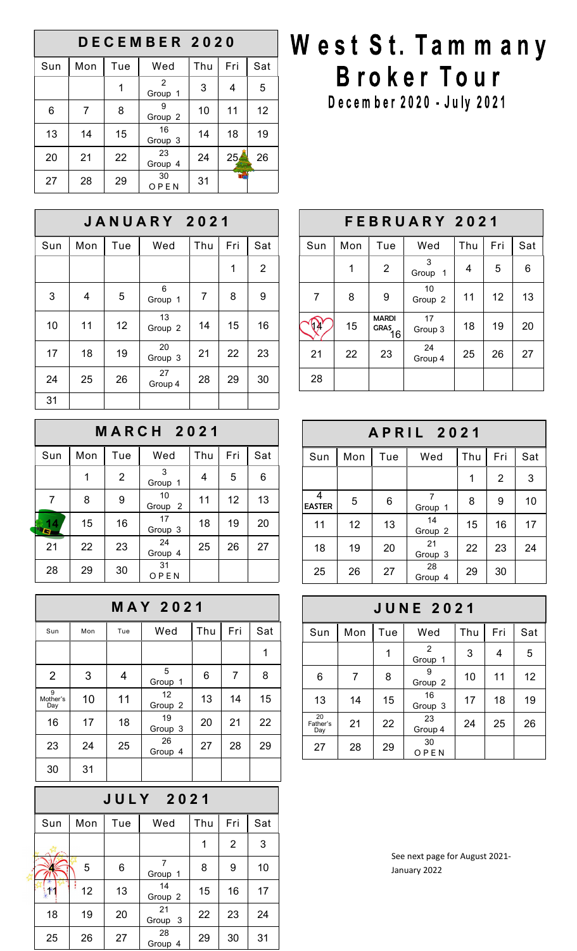| DECEMBER 2020 |     |     |                         |     |                 |     |  |  |
|---------------|-----|-----|-------------------------|-----|-----------------|-----|--|--|
| Sun           | Mon | Tue | Wed                     | Thu | Fri             | Sat |  |  |
|               |     | 1   | 2<br>Group 1            | 3   | 4               | 5   |  |  |
| 6             | 7   | 8   | 9<br>Group <sub>2</sub> | 10  | 11              | 12  |  |  |
| 13            | 14  | 15  | 16<br>Group 3           | 14  | 18              | 19  |  |  |
| 20            | 21  | 22  | 23<br>Group 4           | 24  | 25 <sub>1</sub> | 26  |  |  |
| 27            | 28  | 29  | 30<br>OPEN              | 31  |                 |     |  |  |

| <b>JANUARY 2021</b> |     |     |               |                |     |                |  |  |
|---------------------|-----|-----|---------------|----------------|-----|----------------|--|--|
| Sun                 | Mon | Tue | Wed           | Thu            | Fri | Sat            |  |  |
|                     |     |     |               |                | 1   | $\overline{2}$ |  |  |
| 3                   | 4   | 5   | 6<br>Group 1  | $\overline{7}$ | 8   | 9              |  |  |
| 10                  | 11  | 12  | 13<br>Group 2 | 14             | 15  | 16             |  |  |
| 17                  | 18  | 19  | 20<br>Group 3 | 21             | 22  | 23             |  |  |
| 24                  | 25  | 26  | 27<br>Group 4 | 28             | 29  | 30             |  |  |
| 31                  |     |     |               |                |     |                |  |  |

| <b>MARCH 2021</b> |     |                |                          |     |     |     |  |  |
|-------------------|-----|----------------|--------------------------|-----|-----|-----|--|--|
| Sun               | Mon | Tue            | Wed                      | Thu | Fri | Sat |  |  |
|                   | 1   | $\overline{2}$ | 3<br>Group 1             | 4   | 5   | 6   |  |  |
| $\overline{7}$    | 8   | 9              | 10<br>Group <sub>2</sub> | 11  | 12  | 13  |  |  |
| G                 | 15  | 16             | 17<br>Group 3            | 18  | 19  | 20  |  |  |
| 21                | 22  | 23             | 24<br>Group 4            | 25  | 26  | 27  |  |  |
| 28                | 29  | 30             | 31<br>OPEN               |     |     |     |  |  |

| <b>MAY 2021</b>      |     |                |                          |     |     |     |  |  |
|----------------------|-----|----------------|--------------------------|-----|-----|-----|--|--|
| Sun                  | Mon | Tue            | Wed                      | Thu | Fri | Sat |  |  |
|                      |     |                |                          |     |     | 1   |  |  |
| $\overline{2}$       | 3   | $\overline{4}$ | 5<br>Group 1             | 6   | 7   | 8   |  |  |
| 9<br>Mother's<br>Day | 10  | 11             | 12<br>Group <sub>2</sub> | 13  | 14  | 15  |  |  |
| 16                   | 17  | 18             | 19<br>Group 3            | 20  | 21  | 22  |  |  |
| 23                   | 24  | 25             | 26<br>Group 4            | 27  | 28  | 29  |  |  |
| 30                   | 31  |                |                          |     |     |     |  |  |

| <b>JULY 2021</b> |     |     |               |     |                |     |  |  |  |
|------------------|-----|-----|---------------|-----|----------------|-----|--|--|--|
| Sun              | Mon | Tue | Wed           | Thu | Fri            | Sat |  |  |  |
|                  |     |     |               | 1   | $\overline{2}$ | 3   |  |  |  |
|                  | 5   | 6   | 7<br>Group 1  | 8   | 9              | 10  |  |  |  |
|                  | 12  | 13  | 14<br>Group 2 | 15  | 16             | 17  |  |  |  |
| 18               | 19  | 20  | 21<br>Group 3 | 22  | 23             | 24  |  |  |  |
| 25               | 26  | 27  | 28<br>Group 4 | 29  | 30             | 31  |  |  |  |

## West St. Tammany Broker Tour

December 2020 - July 2021

| FEBRUARY 2021 |     |                             |                  |     |     |     |  |  |
|---------------|-----|-----------------------------|------------------|-----|-----|-----|--|--|
| Sun           | Mon | Tue                         | Wed              | Thu | Fri | Sat |  |  |
|               | 1   | $\overline{2}$              | 3<br>Group<br>-1 | 4   | 5   | 6   |  |  |
| 7             | 8   | 9                           | 10<br>Group 2    | 11  | 12  | 13  |  |  |
|               | 15  | <b>MARDI</b><br>GRAS.<br>16 | 17<br>Group 3    | 18  | 19  | 20  |  |  |
| 21            | 22  | 23                          | 24<br>Group 4    | 25  | 26  | 27  |  |  |
| 28            |     |                             |                  |     |     |     |  |  |

| <b>APRIL 2021</b>  |     |     |               |     |                |     |  |  |
|--------------------|-----|-----|---------------|-----|----------------|-----|--|--|
| Sun                | Mon | Tue | Wed           | Thu | Fri            | Sat |  |  |
|                    |     |     |               | 1   | $\overline{2}$ | 3   |  |  |
| 4<br><b>EASTER</b> | 5   | 6   | 7<br>Group 1  | 8   | 9              | 10  |  |  |
| 11                 | 12  | 13  | 14<br>Group 2 | 15  | 16             | 17  |  |  |
| 18                 | 19  | 20  | 21<br>Group 3 | 22  | 23             | 24  |  |  |
| 25                 | 26  | 27  | 28<br>Group 4 | 29  | 30             |     |  |  |

| <b>JUNE 2021</b>      |     |     |                          |     |     |     |  |  |
|-----------------------|-----|-----|--------------------------|-----|-----|-----|--|--|
| Sun                   | Mon | Tue | Wed                      | Thu | Fri | Sat |  |  |
|                       |     | 1   | $\mathcal{P}$<br>Group 1 | 3   | 4   | 5   |  |  |
| 6                     | 7   | 8   | 9<br>Group 2             | 10  | 11  | 12  |  |  |
| 13                    | 14  | 15  | 16<br>Group 3            | 17  | 18  | 19  |  |  |
| 20<br>Father's<br>Day | 21  | 22  | 23<br>Group 4            | 24  | 25  | 26  |  |  |
| 27                    | 28  | 29  | 30<br>OPEN               |     |     |     |  |  |

See next page for August 2021- January 2022